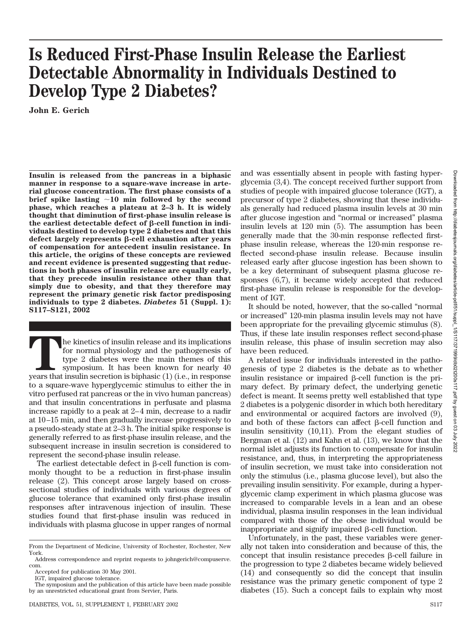# **Is Reduced First-Phase Insulin Release the Earliest Detectable Abnormality in Individuals Destined to Develop Type 2 Diabetes?**

**John E. Gerich**

**Insulin is released from the pancreas in a biphasic manner in response to a square-wave increase in arterial glucose concentration. The first phase consists of a brief spike lasting 10 min followed by the second phase, which reaches a plateau at 2–3 h. It is widely thought that diminution of first-phase insulin release is** the earliest detectable defect of β-cell function in indi**viduals destined to develop type 2 diabetes and that this** defect largely represents β-cell exhaustion after years **of compensation for antecedent insulin resistance. In this article, the origins of these concepts are reviewed and recent evidence is presented suggesting that reductions in both phases of insulin release are equally early, that they precede insulin resistance other than that simply due to obesity, and that they therefore may represent the primary genetic risk factor predisposing individuals to type 2 diabetes.** *Diabetes* **51 (Suppl. 1): S117–S121, 2002**

The kinetics of insulin release and its implications<br>for normal physiology and the pathogenesis of<br>type 2 diabetes were the main themes of this<br>symposium. It has been known for nearly 40<br>years that insulin secretion is bip for normal physiology and the pathogenesis of type 2 diabetes were the main themes of this symposium. It has been known for nearly 40 to a square-wave hyperglycemic stimulus to either the in vitro perfused rat pancreas or the in vivo human pancreas) and that insulin concentrations in perfusate and plasma increase rapidly to a peak at 2–4 min, decrease to a nadir at 10–15 min, and then gradually increase progressively to a pseudo-steady state at 2–3 h. The initial spike response is generally referred to as first-phase insulin release, and the subsequent increase in insulin secretion is considered to represent the second-phase insulin release.

The earliest detectable defect in  $\beta$ -cell function is commonly thought to be a reduction in first-phase insulin release (2). This concept arose largely based on crosssectional studies of individuals with various degrees of glucose tolerance that examined only first-phase insulin responses after intravenous injection of insulin. These studies found that first-phase insulin was reduced in individuals with plasma glucose in upper ranges of normal

and was essentially absent in people with fasting hyperglycemia (3,4). The concept received further support from studies of people with impaired glucose tolerance (IGT), a precursor of type 2 diabetes, showing that these individuals generally had reduced plasma insulin levels at 30 min after glucose ingestion and "normal or increased" plasma insulin levels at 120 min (5). The assumption has been generally made that the 30-min response reflected firstphase insulin release, whereas the 120-min response reflected second-phase insulin release. Because insulin released early after glucose ingestion has been shown to be a key determinant of subsequent plasma glucose responses (6,7), it became widely accepted that reduced first-phase insulin release is responsible for the development of IGT.

It should be noted, however, that the so-called "normal or increased" 120-min plasma insulin levels may not have been appropriate for the prevailing glycemic stimulus (8). Thus, if these late insulin responses reflect second-phase insulin release, this phase of insulin secretion may also have been reduced.

A related issue for individuals interested in the pathogenesis of type 2 diabetes is the debate as to whether insulin resistance or impaired  $\beta$ -cell function is the primary defect. By primary defect, the underlying genetic defect is meant. It seems pretty well established that type 2 diabetes is a polygenic disorder in which both hereditary and environmental or acquired factors are involved (9), and both of these factors can affect  $\beta$ -cell function and insulin sensitivity (10,11). From the elegant studies of Bergman et al. (12) and Kahn et al. (13), we know that the normal islet adjusts its function to compensate for insulin resistance, and, thus, in interpreting the appropriateness of insulin secretion, we must take into consideration not only the stimulus (i.e., plasma glucose level), but also the prevailing insulin sensitivity. For example, during a hyperglycemic clamp experiment in which plasma glucose was increased to comparable levels in a lean and an obese individual, plasma insulin responses in the lean individual compared with those of the obese individual would be inappropriate and signify impaired  $\beta$ -cell function.

Unfortunately, in the past, these variables were generally not taken into consideration and because of this, the concept that insulin resistance precedes  $\beta$ -cell failure in the progression to type 2 diabetes became widely believed (14) and consequently so did the concept that insulin resistance was the primary genetic component of type 2 diabetes (15). Such a concept fails to explain why most

From the Department of Medicine, University of Rochester, Rochester, New York.

Address correspondence and reprint requests to johngerich@compuserve. com. Accepted for publication 30 May 2001.

IGT, impaired glucose tolerance.

The symposium and the publication of this article have been made possible by an unrestricted educational grant from Servier, Paris.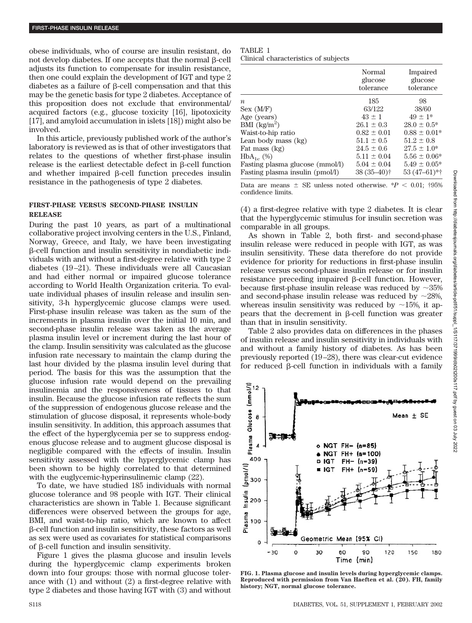obese individuals, who of course are insulin resistant, do not develop diabetes. If one accepts that the normal  $\beta$ -cell adjusts its function to compensate for insulin resistance, then one could explain the development of IGT and type 2 diabetes as a failure of  $\beta$ -cell compensation and that this may be the genetic basis for type 2 diabetes. Acceptance of this proposition does not exclude that environmental/ acquired factors (e.g., glucose toxicity [16], lipotoxicity [17], and amyloid accumulation in islets [18]) might also be involved.

In this article, previously published work of the author's laboratory is reviewed as is that of other investigators that relates to the questions of whether first-phase insulin  $release$  is the earliest detectable defect in  $\beta$ -cell function and whether impaired  $\beta$ -cell function precedes insulin resistance in the pathogenesis of type 2 diabetes.

## **FIRST-PHASE VERSUS SECOND-PHASE INSULIN RELEASE**

During the past 10 years, as part of a multinational collaborative project involving centers in the U.S., Finland, Norway, Greece, and Italy, we have been investigating --cell function and insulin sensitivity in nondiabetic individuals with and without a first-degree relative with type 2 diabetes (19–21). These individuals were all Caucasian and had either normal or impaired glucose tolerance according to World Health Organization criteria. To evaluate individual phases of insulin release and insulin sensitivity, 3-h hyperglycemic glucose clamps were used. First-phase insulin release was taken as the sum of the increments in plasma insulin over the initial 10 min, and second-phase insulin release was taken as the average plasma insulin level or increment during the last hour of the clamp. Insulin sensitivity was calculated as the glucose infusion rate necessary to maintain the clamp during the last hour divided by the plasma insulin level during that period. The basis for this was the assumption that the glucose infusion rate would depend on the prevailing insulinemia and the responsiveness of tissues to that insulin. Because the glucose infusion rate reflects the sum of the suppression of endogenous glucose release and the stimulation of glucose disposal, it represents whole-body insulin sensitivity. In addition, this approach assumes that the effect of the hyperglycemia per se to suppress endogenous glucose release and to augment glucose disposal is negligible compared with the effects of insulin. Insulin sensitivity assessed with the hyperglycemic clamp has been shown to be highly correlated to that determined with the euglycemic-hyperinsulinemic clamp (22).

To date, we have studied 185 individuals with normal glucose tolerance and 98 people with IGT. Their clinical characteristics are shown in Table 1. Because significant differences were observed between the groups for age, BMI, and waist-to-hip ratio, which are known to affect --cell function and insulin sensitivity, these factors as well as sex were used as covariates for statistical comparisons of  $\beta$ -cell function and insulin sensitivity.

Figure 1 gives the plasma glucose and insulin levels during the hyperglycemic clamp experiments broken down into four groups: those with normal glucose tolerance with (1) and without (2) a first-degree relative with type 2 diabetes and those having IGT with (3) and without

#### TABLE 1

Clinical characteristics of subjects

|                                    | Normal<br>glucose<br>tolerance | Impaired<br>glucose<br>tolerance |
|------------------------------------|--------------------------------|----------------------------------|
| $\boldsymbol{n}$                   | 185                            | 98                               |
| Sex (M/F)                          | 63/122                         | 38/60                            |
| Age (years)                        | $43 \pm 1$                     | $49 \pm 1*$                      |
| BMI $\frac{\text{kg}}{\text{m}^2}$ | $26.1 \pm 0.3$                 | $28.0 \pm 0.5^*$                 |
| Waist-to-hip ratio                 | $0.82 \pm 0.01$                | $0.88 \pm 0.01*$                 |
| Lean body mass (kg)                | $51.1 \pm 0.5$                 | $51.2 \pm 0.8$                   |
| Fat mass (kg)                      | $24.5 \pm 0.6$                 | $27.5 \pm 1.0^*$                 |
| $HbA_{1c}$ (%)                     | $5.11 \pm 0.04$                | $5.56 \pm 0.06*$                 |
| Fasting plasma glucose (mmol/l)    | $5.04 \pm 0.04$                | $5.49 \pm 0.05*$                 |
| Fasting plasma insulin (pmol/l)    | $38(35-40)$ <sup>†</sup>       | $53(47-61)*†$                    |

Data are means  $\pm$  SE unless noted otherwise.  $*P < 0.01$ ; †95% confidence limits.

(4) a first-degree relative with type 2 diabetes. It is clear that the hyperglycemic stimulus for insulin secretion was comparable in all groups.

As shown in Table 2, both first- and second-phase insulin release were reduced in people with IGT, as was insulin sensitivity. These data therefore do not provide evidence for priority for reductions in first-phase insulin release versus second-phase insulin release or for insulin  $resistance$  preceding impaired  $\beta$ -cell function. However, because first-phase insulin release was reduced by  $\sim 35\%$ and second-phase insulin release was reduced by  $\sim$ 28%, whereas insulin sensitivity was reduced by  $\sim$ 15%, it appears that the decrement in  $\beta$ -cell function was greater than that in insulin sensitivity.

Table 2 also provides data on differences in the phases of insulin release and insulin sensitivity in individuals with and without a family history of diabetes. As has been previously reported (19–28), there was clear-cut evidence for reduced  $\beta$ -cell function in individuals with a family



**FIG. 1. Plasma glucose and insulin levels during hyperglycemic clamps. Reproduced with permission from Van Haeften et al. (20). FH, family history; NGT, normal glucose tolerance.**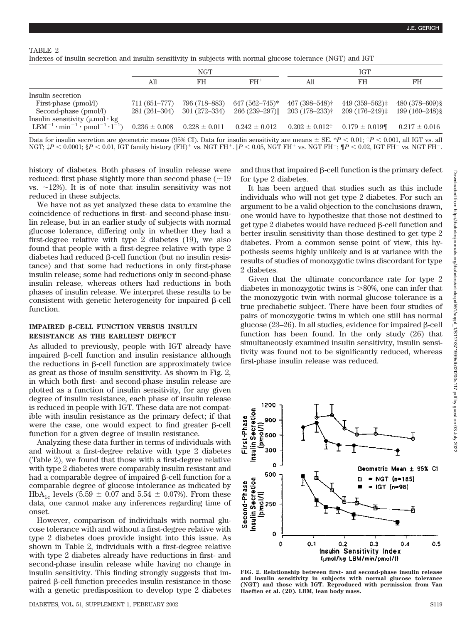Indexes of insulin secretion and insulin sensitivity in subjects with normal glucose tolerance (NGT) and IGT

|                                                                                                                                | NGT           |                                                       | <b>IGT</b>         |                     |                   |                   |
|--------------------------------------------------------------------------------------------------------------------------------|---------------|-------------------------------------------------------|--------------------|---------------------|-------------------|-------------------|
|                                                                                                                                | All           | $FH^-$                                                | $FH^+$             | All                 | $FH^-$            | $FH^+$            |
| Insulin secretion                                                                                                              |               |                                                       |                    |                     |                   |                   |
| First-phase (pmol/l)                                                                                                           | 711 (651–777) | 796 (718–883)                                         | $647(562 - 745)^*$ | 467 (398-548)†      | $449(359-562)$    | $480(378-609)$ §  |
| Second-phase (pmol/l)                                                                                                          | 281 (261–304) | 301 (272–334)                                         | 266 (239–297)      | $203(178-233)$ †    | $209(176-249)$    | $199(160 - 248)\$ |
| Insulin sensitivity $(\mu \text{mol} \cdot \text{kg})$<br>$LBM^{-1} \cdot \text{min}^{-1} \cdot \text{pmol}^{-1} \cdot l^{-1}$ |               | $0.236 \pm 0.008$ $0.228 \pm 0.011$ $0.242 \pm 0.012$ |                    | $0.202 \pm 0.012$ † | $0.179 \pm 0.019$ | $0.217 \pm 0.016$ |

Data for insulin secretion are geometric means (95% CI). Data for insulin sensitivity are means  $\pm$  SE. \* $P < 0.01$ ;  $\dot{\uparrow}P < 0.001$ , all IGT vs. all NGT;  $\sharp P$  < 0.0001;  $\S P$  < 0.01, IGT family history (FH)<sup>+</sup> vs. NGT FH<sup>+</sup>.  $|P$  < 0.05, NGT FH<sup>+</sup> vs. NGT FH<sup>-</sup>;  $\P P$  < 0.02, IGT FH<sup>-</sup> vs. NGT FH<sup>-</sup>.

history of diabetes. Both phases of insulin release were reduced: first phase slightly more than second phase  $(29)$ vs.  $\sim$ 12%). It is of note that insulin sensitivity was not reduced in these subjects.

We have not as yet analyzed these data to examine the coincidence of reductions in first- and second-phase insulin release, but in an earlier study of subjects with normal glucose tolerance, differing only in whether they had a first-degree relative with type 2 diabetes (19), we also found that people with a first-degree relative with type 2  $diabetes$  had reduced  $\beta$ -cell function (but no insulin resistance) and that some had reductions in only first-phase insulin release; some had reductions only in second-phase insulin release, whereas others had reductions in both phases of insulin release. We interpret these results to be consistent with genetic heterogeneity for impaired  $\beta$ -cell function.

### **IMPAIRED β-CELL FUNCTION VERSUS INSULIN RESISTANCE AS THE EARLIEST DEFECT**

As alluded to previously, people with IGT already have impaired  $\beta$ -cell function and insulin resistance although the reductions in  $\beta$ -cell function are approximately twice as great as those of insulin sensitivity. As shown in Fig. 2, in which both first- and second-phase insulin release are plotted as a function of insulin sensitivity, for any given degree of insulin resistance, each phase of insulin release is reduced in people with IGT. These data are not compatible with insulin resistance as the primary defect; if that were the case, one would expect to find greater  $\beta$ -cell function for a given degree of insulin resistance.

Analyzing these data further in terms of individuals with and without a first-degree relative with type 2 diabetes (Table 2), we found that those with a first-degree relative with type 2 diabetes were comparably insulin resistant and had a comparable degree of impaired  $\beta$ -cell function for a comparable degree of glucose intolerance as indicated by HbA<sub>1c</sub> levels (5.59  $\pm$  0.07 and 5.54  $\pm$  0.07%). From these data, one cannot make any inferences regarding time of onset.

However, comparison of individuals with normal glucose tolerance with and without a first-degree relative with type 2 diabetes does provide insight into this issue. As shown in Table 2, individuals with a first-degree relative with type 2 diabetes already have reductions in first- and second-phase insulin release while having no change in insulin sensitivity. This finding strongly suggests that impaired  $\beta$ -cell function precedes insulin resistance in those with a genetic predisposition to develop type 2 diabetes

and thus that impaired  $\beta$ -cell function is the primary defect for type 2 diabetes.

It has been argued that studies such as this include individuals who will not get type 2 diabetes. For such an argument to be a valid objection to the conclusions drawn, one would have to hypothesize that those not destined to get type  $2$  diabetes would have reduced  $\beta$ -cell function and better insulin sensitivity than those destined to get type 2 diabetes. From a common sense point of view, this hypothesis seems highly unlikely and is at variance with the results of studies of monozygotic twins discordant for type 2 diabetes.

Given that the ultimate concordance rate for type 2 diabetes in monozygotic twins is  $>80\%$ , one can infer that the monozygotic twin with normal glucose tolerance is a true prediabetic subject. There have been four studies of pairs of monozygotic twins in which one still has normal glucose  $(23-26)$ . In all studies, evidence for impaired  $\beta$ -cell function has been found. In the only study (26) that simultaneously examined insulin sensitivity, insulin sensitivity was found not to be significantly reduced, whereas first-phase insulin release was reduced.



**FIG. 2. Relationship between first- and second-phase insulin release and insulin sensitivity in subjects with normal glucose tolerance (NGT) and those with IGT. Reproduced with permission from Van Haeften et al. (20). LBM, lean body mass.**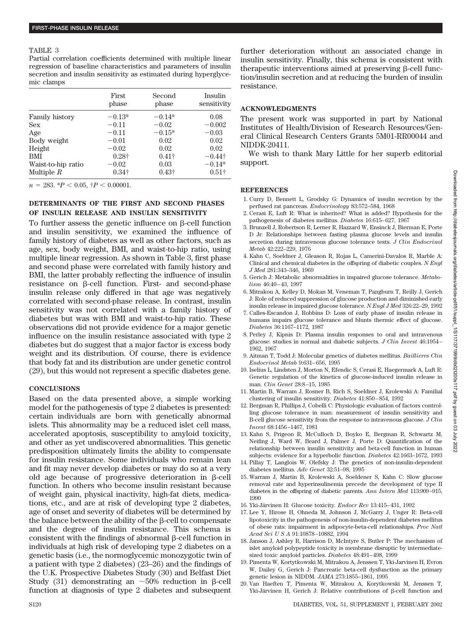#### TABLE 3

Partial correlation coefficients determined with multiple linear regression of baseline characteristics and parameters of insulin secretion and insulin sensitivity as estimated during hyperglycemic clamps

|                       | First<br>phase | Second<br>phase | Insulin<br>sensitivity |
|-----------------------|----------------|-----------------|------------------------|
| <b>Family history</b> | $-0.13*$       | $-0.14*$        | 0.08                   |
| <b>Sex</b>            | $-0.11$        | $-0.02$         | $-0.002$               |
| Age                   | $-0.11$        | $-0.15*$        | $-0.03$                |
| Body weight           | $-0.01$        | 0.02            | 0.02                   |
| Height                | $-0.02$        | 0.02            | 0.02                   |
| BMI                   | $0.28\dagger$  | $0.41\dagger$   | $-0.44\dagger$         |
| Waist-to-hip ratio    | $-0.02$        | 0.03            | $-0.14*$               |
| Multiple $R$          | $0.34\dagger$  | $0.43\dagger$   | $0.51\dagger$          |

 $n = 283$ . \* $P < 0.05$ ,  $P < 0.00001$ .

## **DETERMINANTS OF THE FIRST AND SECOND PHASES OF INSULIN RELEASE AND INSULIN SENSITIVITY**

To further assess the genetic influence on  $\beta$ -cell function and insulin sensitivity, we examined the influence of family history of diabetes as well as other factors, such as age, sex, body weight, BMI, and waist-to-hip ratio, using multiple linear regression. As shown in Table 3, first phase and second phase were correlated with family history and BMI, the latter probably reflecting the influence of insulin  $resistance$  on  $\beta$ -cell function. First- and second-phase insulin release only differed in that age was negatively correlated with second-phase release. In contrast, insulin sensitivity was not correlated with a family history of diabetes but was with BMI and waist-to-hip ratio. These observations did not provide evidence for a major genetic influence on the insulin resistance associated with type 2 diabetes but do suggest that a major factor is excess body weight and its distribution. Of course, there is evidence that body fat and its distribution are under genetic control (29), but this would not represent a specific diabetes gene.

## **CONCLUSIONS**

Based on the data presented above, a simple working model for the pathogenesis of type 2 diabetes is presented: certain individuals are born with genetically abnormal islets. This abnormality may be a reduced islet cell mass, accelerated apoptosis, susceptibility to amyloid toxicity, and other as yet undiscovered abnormalities. This genetic predisposition ultimately limits the ability to compensate for insulin resistance. Some individuals who remain lean and fit may never develop diabetes or may do so at a very old age because of progressive deterioration in  $\beta$ -cell function. In others who become insulin resistant because of weight gain, physical inactivity, high-fat diets, medications, etc., and are at risk of developing type 2 diabetes, age of onset and severity of diabetes will be determined by the balance between the ability of the  $\beta$ -cell to compensate and the degree of insulin resistance. This schema is  $\cos$  consistent with the findings of abnormal  $\beta$ -cell function in individuals at high risk of developing type 2 diabetes on a genetic basis (i.e., the normoglycemic monozygotic twin of a patient with type 2 diabetes) (23–26) and the findings of the U.K. Prospective Diabetes Study (30) and Belfast Diet Study (31) demonstrating an  $\sim$  50% reduction in  $\beta$ -cell function at diagnosis of type 2 diabetes and subsequent

further deterioration without an associated change in insulin sensitivity. Finally, this schema is consistent with therapeutic interventions aimed at preserving  $\beta$ -cell function/insulin secretion and at reducing the burden of insulin resistance.

## **ACKNOWLEDGMENTS**

The present work was supported in part by National Institutes of Health/Division of Research Resources/General Clinical Research Centers Grants 5M01-RR00044 and NIDDK-20411.

We wish to thank Mary Little for her superb editorial support.

#### **REFERENCES**

- 1. Curry D, Bennett L, Grodsky G: Dynamics of insulin secretion by the perfused rat pancreas. *Endocrinology* 83:572–584, 1968
- 2. Cerasi E, Luft R: What is inherited? What is added? Hypothesis for the pathogenesis of diabetes mellitus. *Diabetes* 16:615–627, 1967
- 3. Brunzell J, Robertson R, Lerner R, Hazzard W, Ensinck J, Bierman E, Porte D Jr: Relationships between fasting plasma glucose levels and insulin secretion during intravenous glucose tolerance tests. *J Clin Endocrinol Metab* 42:222–229, 1976
- 4. Kahn C, Soeldner J, Gleason R, Rojas L, Camerini-Davalos R, Marble A: Clinical and chemical diabetes in the offspring of diabetic couples. *N Engl J Med* 281:343–346, 1969
- 5. Gerich J: Metabolic abnormalities in impaired glucose tolerance. *Metabolism* 46:40–43, 1997
- 6. Mitrakou A, Kelley D, Mokan M, Veneman T, Pangburn T, Reilly J, Gerich J: Role of reduced suppression of glucose production and diminished early insulin release in impaired glucose tolerance. *N Engl J Med* 326:22–29, 1992
- 7. Calles-Escandon J, Robbins D: Loss of early phase of insulin release in humans impairs glucose tolerance and blunts thermic effect of glucose. *Diabetes* 36:1167–1172, 1987
- 8. Perley J, Kipnis D: Plasma insulin responses to oral and intravenous glucose: studies in normal and diabetic subjects. *J Clin Invest* 46:1954– 1962, 1967
- 9. Aitman T, Todd J: Molecular genetics of diabetes mellitus. *Baillieres Clin Endocrinol Metab* 9:631–656, 1995
- 10. Iselius L, Lindsten J, Morton N, Efendic S, Cerasi E, Haegermark A, Luft R: Genetic regulation of the kinetics of glucose-induced insulin release in man. *Clin Genet* 28:8–15, 1985
- 11. Martin B, Warram J, Rosner B, Rich S, Soeldner J, Krolewski A: Familial clustering of insulin sensitivity. *Diabetes* 41:850–854, 1992
- 12. Bergman R, Phillips J, Cobelli C: Physiologic evaluation of factors controlling glucose tolerance in man: measurement of insulin sensitivity and B-cell glucose sensitivity from the response to intravenous glucose. *J Clin Invest* 68:1456–1467, 1981
- 13. Kahn S, Prigeon R, McCulloch D, Boyko E, Bergman R, Schwartz M, Neifing J, Ward W, Beard J, Palmer J, Porte D: Quantification of the relationship between insulin sensitivity and beta-cell function in human subjects: evidence for a hyperbolic function. *Diabetes* 42:1663–1672, 1993
- 14. Pillay T, Langlois W, Olefsky J: The genetics of non-insulin-dependent diabetes mellitus. *Adv Genet* 32:51–98, 1995
- 15. Warram J, Martin B, Krolewski A, Soeldener S, Kahn C: Slow glucose removal rate and hyperinsulinemia precede the development of type II diabetes in the offspring of diabetic parents. *Ann Intern Med* 113:909–915, 1990
- 16. Yki-Järvinen H: Glucose toxicity. *Endocr Rev* 13:415–431, 1992
- 17. Lee Y, Hirose H, Ohneda M, Johnson J, McGarry J, Unger R: Beta-cell lipotoxicity in the pathogenesis of non-insulin-dependent diabetes mellitus of obese rats: impairment in adipocyte-beta-cell relationships. *Proc Natl Acad SciUSA* 91:10878–10882, 1994
- 18. Janson J, Ashley R, Harrison D, McIntyre S, Butler P: The mechanism of islet amyloid polypeptide toxicity is membrane disruptic by intermediatesized toxic amyloid particles. *Diabetes* 48:491–498, 1999
- 19. Pimenta W, Kortytkowski M, Mitrakou A, Jenssen T, Yki-Jarvinen H, Evron W, Dailey G, Gerich J: Pancreatic beta-cell dysfunction as the primary genetic lesion in NIDDM. *JAMA* 273:1855–1861, 1995
- 20. Van Haeften T, Pimenta W, Mitrakou A, Korytkowski M, Jenssen T, Yki-Järvinen H, Gerich J: Relative contributions of β-cell function and